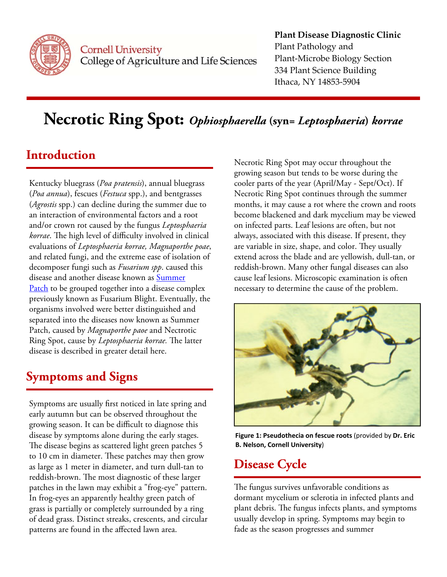

#### Cornell University College of Agriculture and Life Sciences

#### **Plant Disease Diagnostic Clinic** Plant Pathology and Plant‐Microbe Biology Section 334 Plant Science Building Ithaca, NY 14853‐5904

# **Necrotic Ring Spot:** *Ophiosphaerella* **(syn=** *Leptosphaeria***)** *korrae*

## **Introduction**

Kentucky bluegrass (*Poa pratensis*), annual bluegrass (*Poa annua*), fescues (*Festuca* spp.), and bentgrasses (*Agrostis* spp.) can decline during the summer due to an interaction of environmental factors and a root and/or crown rot caused by the fungus *Leptosphaeria korrae*. The high level of difficulty involved in clinical evaluations of *Leptosphaeria korrae, Magnaporthe poae*, and related fungi, and the extreme ease of isolation of decomposer fungi such as *Fusarium spp*. caused this [disease and another disease known as Summer](http://plantclinic.cornell.edu/factsheets/summerpatch.pdf)  Patch to be grouped together into a disease complex previously known as Fusarium Blight. Eventually, the organisms involved were better distinguished and separated into the diseases now known as Summer Patch, caused by *Magnaporthe paoe* and Nectrotic Ring Spot, cause by *Leptosphaeria korrae*. The latter disease is described in greater detail here.

### **Symptoms and Signs**

Symptoms are usually frst noticed in late spring and early autumn but can be observed throughout the growing season. It can be difficult to diagnose this disease by symptoms alone during the early stages. The disease begins as scattered light green patches 5 to 10 cm in diameter. These patches may then grow as large as 1 meter in diameter, and turn dull-tan to reddish-brown. The most diagnostic of these larger patches in the lawn may exhibit a "frog-eye" pattern. In frog-eyes an apparently healthy green patch of grass is partially or completely surrounded by a ring of dead grass. Distinct streaks, crescents, and circular patterns are found in the afected lawn area.

Necrotic Ring Spot may occur throughout the growing season but tends to be worse during the cooler parts of the year (April/May - Sept/Oct). If Necrotic Ring Spot continues through the summer months, it may cause a rot where the crown and roots become blackened and dark mycelium may be viewed on infected parts. Leaf lesions are often, but not always, associated with this disease. If present, they are variable in size, shape, and color. They usually extend across the blade and are yellowish, dull-tan, or reddish-brown. Many other fungal diseases can also cause leaf lesions. Microscopic examination is often necessary to determine the cause of the problem.



 **Figure 1: Pseudothecia on fescue roots** (provided by **Dr. Eric B. Nelson, Cornell University**)

### **Disease Cycle**

The fungus survives unfavorable conditions as dormant mycelium or sclerotia in infected plants and plant debris. The fungus infects plants, and symptoms usually develop in spring. Symptoms may begin to fade as the season progresses and summer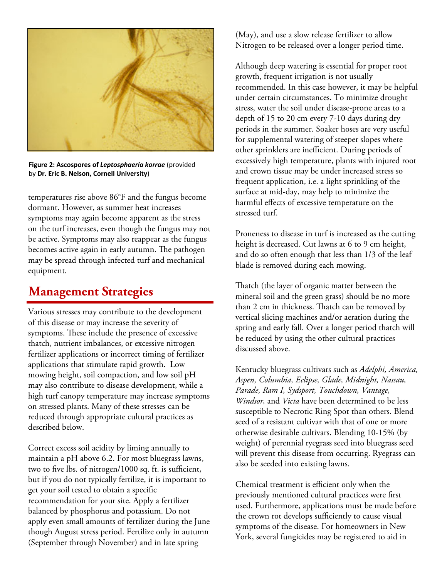

 **Figure 2: Ascospores of** *Leptosphaeria korrae* (provided  by **Dr. Eric B. Nelson, Cornell University**)

temperatures rise above 86°F and the fungus become dormant. However, as summer heat increases symptoms may again become apparent as the stress on the turf increases, even though the fungus may not be active. Symptoms may also reappear as the fungus becomes active again in early autumn. The pathogen may be spread through infected turf and mechanical equipment.

#### **Management Strategies**

symptoms. These include the presence of excessive Various stresses may contribute to the development of this disease or may increase the severity of thatch, nutrient imbalances, or excessive nitrogen fertilizer applications or incorrect timing of fertilizer applications that stimulate rapid growth. Low mowing height, soil compaction, and low soil pH may also contribute to disease development, while a high turf canopy temperature may increase symptoms on stressed plants. Many of these stresses can be reduced through appropriate cultural practices as described below.

Correct excess soil acidity by liming annually to maintain a pH above 6.2. For most bluegrass lawns, two to five lbs. of nitrogen/1000 sq. ft. is sufficient, but if you do not typically fertilize, it is important to get your soil tested to obtain a specifc recommendation for your site. Apply a fertilizer balanced by phosphorus and potassium. Do not apply even small amounts of fertilizer during the June though August stress period. Fertilize only in autumn (September through November) and in late spring

(May), and use a slow release fertilizer to allow Nitrogen to be released over a longer period time.

Although deep watering is essential for proper root growth, frequent irrigation is not usually recommended. In this case however, it may be helpful under certain circumstances. To minimize drought stress, water the soil under disease-prone areas to a depth of 15 to 20 cm every 7-10 days during dry periods in the summer. Soaker hoses are very useful for supplemental watering of steeper slopes where other sprinklers are inefficient. During periods of excessively high temperature, plants with injured root and crown tissue may be under increased stress so frequent application, i.e. a light sprinkling of the surface at mid-day, may help to minimize the harmful efects of excessive temperature on the stressed turf.

Proneness to disease in turf is increased as the cutting height is decreased. Cut lawns at 6 to 9 cm height, and do so often enough that less than 1/3 of the leaf blade is removed during each mowing.

Thatch (the layer of organic matter between the mineral soil and the green grass) should be no more than 2 cm in thickness. Thatch can be removed by vertical slicing machines and/or aeration during the spring and early fall. Over a longer period thatch will be reduced by using the other cultural practices discussed above.

Kentucky bluegrass cultivars such as *Adelphi, America, Aspen, Columbia, Eclipse, Glade, Midnight, Nassau, Parade, Ram I, Sydsport, Touchdown, Vantage, Windsor,* and *Victa* have been determined to be less susceptible to Necrotic Ring Spot than others. Blend seed of a resistant cultivar with that of one or more otherwise desirable cultivars. Blending 10-15% (by weight) of perennial ryegrass seed into bluegrass seed will prevent this disease from occurring. Ryegrass can also be seeded into existing lawns.

Chemical treatment is efficient only when the previously mentioned cultural practices were frst used. Furthermore, applications must be made before the crown rot develops sufficiently to cause visual symptoms of the disease. For homeowners in New York, several fungicides may be registered to aid in